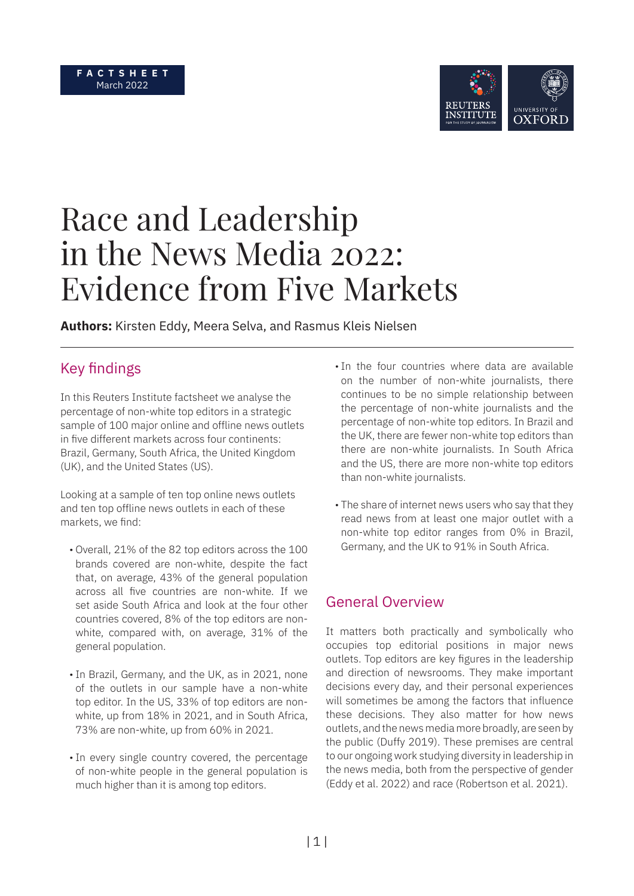

# Race and Leadership in the News Media 2022: Evidence from Five Markets

**Authors:** Kirsten Eddy, Meera Selva, and Rasmus Kleis Nielsen

# Key findings

In this Reuters Institute factsheet we analyse the percentage of non-white top editors in a strategic sample of 100 major online and offline news outlets in five different markets across four continents: Brazil, Germany, South Africa, the United Kingdom (UK), and the United States (US).

Looking at a sample of ten top online news outlets and ten top offline news outlets in each of these markets, we find:

- Overall, 21% of the 82 top editors across the 100 brands covered are non-white, despite the fact that, on average, 43% of the general population across all five countries are non-white. If we set aside South Africa and look at the four other countries covered, 8% of the top editors are nonwhite, compared with, on average, 31% of the general population.
- •In Brazil, Germany, and the UK, as in 2021, none of the outlets in our sample have a non-white top editor. In the US, 33% of top editors are nonwhite, up from 18% in 2021, and in South Africa, 73% are non-white, up from 60% in 2021.
- •In every single country covered, the percentage of non-white people in the general population is much higher than it is among top editors.
- In the four countries where data are available on the number of non-white journalists, there continues to be no simple relationship between the percentage of non-white journalists and the percentage of non-white top editors. In Brazil and the UK, there are fewer non-white top editors than there are non-white journalists. In South Africa and the US, there are more non-white top editors than non-white journalists.
- The share of internet news users who say that they read news from at least one major outlet with a non-white top editor ranges from 0% in Brazil, Germany, and the UK to 91% in South Africa.

## General Overview

It matters both practically and symbolically who occupies top editorial positions in major news outlets. Top editors are key figures in the leadership and direction of newsrooms. They make important decisions every day, and their personal experiences will sometimes be among the factors that influence these decisions. They also matter for how news outlets, and the news media more broadly, are seen by the public (Duffy 2019). These premises are central to our ongoing work studying diversity in leadership in the news media, both from the perspective of gender (Eddy et al. 2022) and race (Robertson et al. 2021).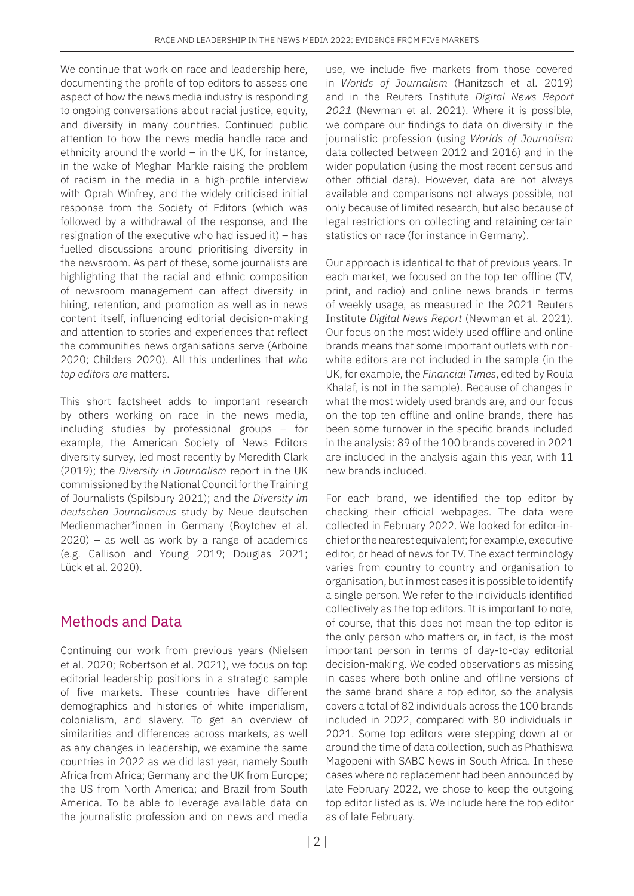We continue that work on race and leadership here, documenting the profile of top editors to assess one aspect of how the news media industry is responding to ongoing conversations about racial justice, equity, and diversity in many countries. Continued public attention to how the news media handle race and ethnicity around the world  $-$  in the UK, for instance, in the wake of Meghan Markle raising the problem of racism in the media in a high-profile interview with Oprah Winfrey, and the widely criticised initial response from the Society of Editors (which was followed by a withdrawal of the response, and the resignation of the executive who had issued it) – has fuelled discussions around prioritising diversity in the newsroom. As part of these, some journalists are highlighting that the racial and ethnic composition of newsroom management can affect diversity in hiring, retention, and promotion as well as in news content itself, influencing editorial decision-making and attention to stories and experiences that reflect the communities news organisations serve (Arboine 2020; Childers 2020). All this underlines that *who top editors are* matters.

This short factsheet adds to important research by others working on race in the news media, including studies by professional groups – for example, the American Society of News Editors diversity survey, led most recently by Meredith Clark (2019); the *Diversity in Journalism* report in the UK commissioned by the National Council for the Training of Journalists (Spilsbury 2021); and the *Diversity im deutschen Journalismus* study by Neue deutschen Medienmacher\*innen in Germany (Boytchev et al.  $2020$ ) – as well as work by a range of academics (e.g. Callison and Young 2019; Douglas 2021; Lück et al. 2020).

# Methods and Data

Continuing our work from previous years (Nielsen et al. 2020; Robertson et al. 2021), we focus on top editorial leadership positions in a strategic sample of five markets. These countries have different demographics and histories of white imperialism, colonialism, and slavery. To get an overview of similarities and differences across markets, as well as any changes in leadership, we examine the same countries in 2022 as we did last year, namely South Africa from Africa; Germany and the UK from Europe; the US from North America; and Brazil from South America. To be able to leverage available data on the journalistic profession and on news and media

use, we include five markets from those covered in *Worlds of Journalism* (Hanitzsch et al. 2019) and in the Reuters Institute *Digital News Report 2021* (Newman et al. 2021). Where it is possible, we compare our findings to data on diversity in the journalistic profession (using *Worlds of Journalism* data collected between 2012 and 2016) and in the wider population (using the most recent census and other official data). However, data are not always available and comparisons not always possible, not only because of limited research, but also because of legal restrictions on collecting and retaining certain statistics on race (for instance in Germany).

Our approach is identical to that of previous years. In each market, we focused on the top ten offline (TV, print, and radio) and online news brands in terms of weekly usage, as measured in the 2021 Reuters Institute *Digital News Report* (Newman et al. 2021). Our focus on the most widely used offline and online brands means that some important outlets with nonwhite editors are not included in the sample (in the UK, for example, the *Financial Times*, edited by Roula Khalaf, is not in the sample). Because of changes in what the most widely used brands are, and our focus on the top ten offline and online brands, there has been some turnover in the specific brands included in the analysis: 89 of the 100 brands covered in 2021 are included in the analysis again this year, with 11 new brands included.

For each brand, we identified the top editor by checking their official webpages. The data were collected in February 2022. We looked for editor-inchief or the nearest equivalent; for example, executive editor, or head of news for TV. The exact terminology varies from country to country and organisation to organisation, but in most cases it is possible to identify a single person. We refer to the individuals identified collectively as the top editors. It is important to note, of course, that this does not mean the top editor is the only person who matters or, in fact, is the most important person in terms of day-to-day editorial decision-making. We coded observations as missing in cases where both online and offline versions of the same brand share a top editor, so the analysis covers a total of 82 individuals across the 100 brands included in 2022, compared with 80 individuals in 2021. Some top editors were stepping down at or around the time of data collection, such as Phathiswa Magopeni with SABC News in South Africa. In these cases where no replacement had been announced by late February 2022, we chose to keep the outgoing top editor listed as is. We include here the top editor as of late February.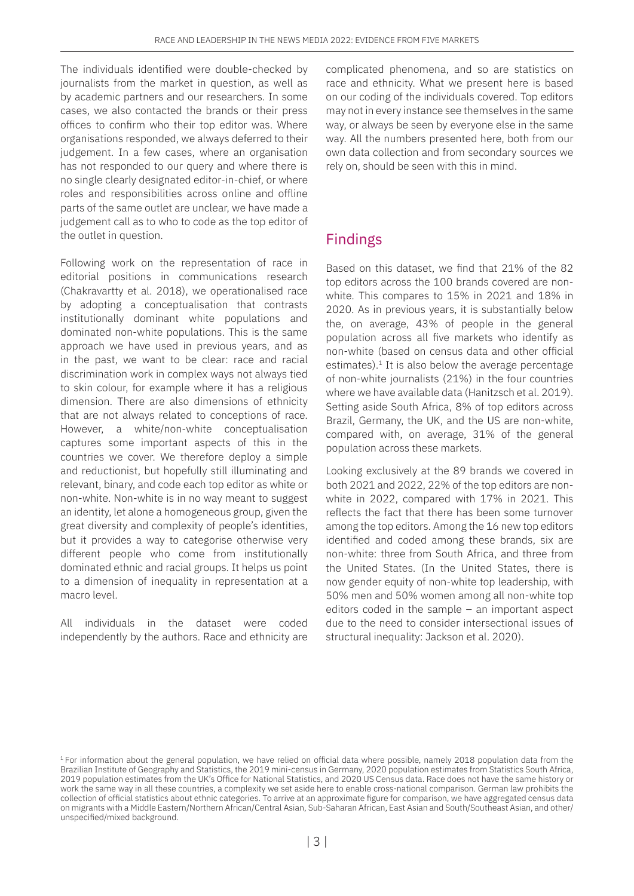The individuals identified were double-checked by journalists from the market in question, as well as by academic partners and our researchers. In some cases, we also contacted the brands or their press offices to confirm who their top editor was. Where organisations responded, we always deferred to their judgement. In a few cases, where an organisation has not responded to our query and where there is no single clearly designated editor-in-chief, or where roles and responsibilities across online and offline parts of the same outlet are unclear, we have made a judgement call as to who to code as the top editor of the outlet in question.

Following work on the representation of race in editorial positions in communications research (Chakravartty et al. 2018), we operationalised race by adopting a conceptualisation that contrasts institutionally dominant white populations and dominated non-white populations. This is the same approach we have used in previous years, and as in the past, we want to be clear: race and racial discrimination work in complex ways not always tied to skin colour, for example where it has a religious dimension. There are also dimensions of ethnicity that are not always related to conceptions of race. However, a white/non-white conceptualisation captures some important aspects of this in the countries we cover. We therefore deploy a simple and reductionist, but hopefully still illuminating and relevant, binary, and code each top editor as white or non-white. Non-white is in no way meant to suggest an identity, let alone a homogeneous group, given the great diversity and complexity of people's identities, but it provides a way to categorise otherwise very different people who come from institutionally dominated ethnic and racial groups. It helps us point to a dimension of inequality in representation at a macro level.

All individuals in the dataset were coded independently by the authors. Race and ethnicity are complicated phenomena, and so are statistics on race and ethnicity. What we present here is based on our coding of the individuals covered. Top editors may not in every instance see themselves in the same way, or always be seen by everyone else in the same way. All the numbers presented here, both from our own data collection and from secondary sources we rely on, should be seen with this in mind.

## Findings

Based on this dataset, we find that 21% of the 82 top editors across the 100 brands covered are nonwhite. This compares to 15% in 2021 and 18% in 2020. As in previous years, it is substantially below the, on average, 43% of people in the general population across all five markets who identify as non-white (based on census data and other official estimates). $1$  It is also below the average percentage of non-white journalists (21%) in the four countries where we have available data (Hanitzsch et al. 2019). Setting aside South Africa, 8% of top editors across Brazil, Germany, the UK, and the US are non-white, compared with, on average, 31% of the general population across these markets.

Looking exclusively at the 89 brands we covered in both 2021 and 2022, 22% of the top editors are nonwhite in 2022, compared with 17% in 2021. This reflects the fact that there has been some turnover among the top editors. Among the 16 new top editors identified and coded among these brands, six are non-white: three from South Africa, and three from the United States. (In the United States, there is now gender equity of non-white top leadership, with 50% men and 50% women among all non-white top editors coded in the sample – an important aspect due to the need to consider intersectional issues of structural inequality: Jackson et al. 2020).

<span id="page-2-0"></span><sup>&</sup>lt;sup>1</sup> For information about the general population, we have relied on official data where possible, namely 2018 population data from the Brazilian Institute of Geography and Statistics, the 2019 mini-census in Germany, 2020 population estimates from Statistics South Africa, 2019 population estimates from the UK's Office for National Statistics, and 2020 US Census data. Race does not have the same history or work the same way in all these countries, a complexity we set aside here to enable cross-national comparison. German law prohibits the collection of official statistics about ethnic categories. To arrive at an approximate figure for comparison, we have aggregated census data on migrants with a Middle Eastern/Northern African/Central Asian, Sub-Saharan African, East Asian and South/Southeast Asian, and other/ unspecified/mixed background.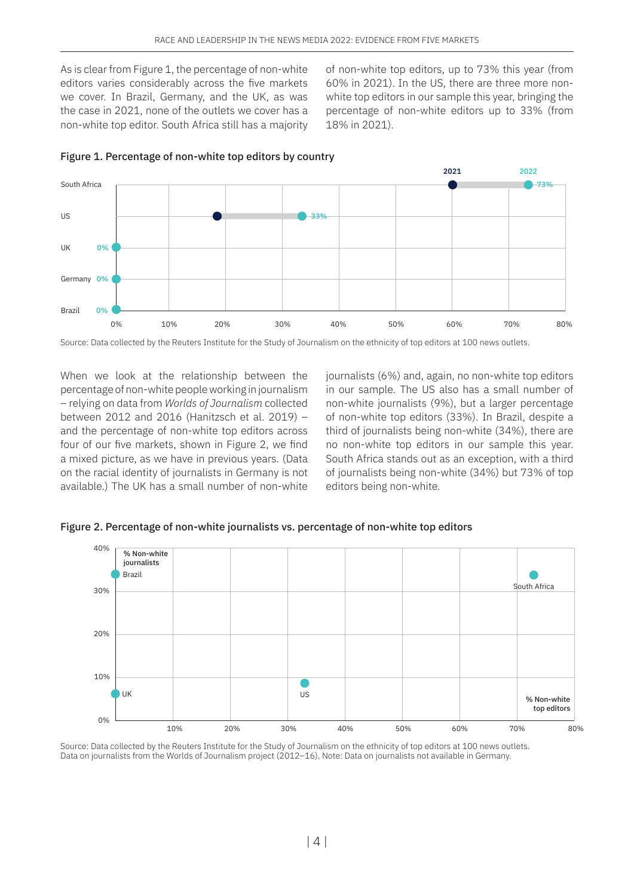As is clear from Figure 1, the percentage of non-white editors varies considerably across the five markets we cover. In Brazil, Germany, and the UK, as was the case in 2021, none of the outlets we cover has a non-white top editor. South Africa still has a majority of non-white top editors, up to 73% this year (from 60% in 2021). In the US, there are three more nonwhite top editors in our sample this year, bringing the percentage of non-white editors up to 33% (from 18% in 2021).



#### Figure 1. Percentage of non-white top editors by country

Source: Data collected by the Reuters Institute for the Study of Journalism on the ethnicity of top editors at 100 news outlets.

When we look at the relationship between the percentage of non-white people working in journalism – relying on data from *Worlds of Journalism* collected between 2012 and 2016 (Hanitzsch et al. 2019) – and the percentage of non-white top editors across four of our five markets, shown in Figure 2, we find a mixed picture, as we have in previous years. (Data on the racial identity of journalists in Germany is not available.) The UK has a small number of non-white

journalists (6%) and, again, no non-white top editors in our sample. The US also has a small number of non-white journalists (9%), but a larger percentage of non-white top editors (33%). In Brazil, despite a third of journalists being non-white (34%), there are no non-white top editors in our sample this year. South Africa stands out as an exception, with a third of journalists being non-white (34%) but 73% of top editors being non-white.

Figure 2. Percentage of non-white journalists vs. percentage of non-white top editors



Source: Data collected by the Reuters Institute for the Study of Journalism on the ethnicity of top editors at 100 news outlets. Data on journalists from the Worlds of Journalism project (2012–16). Note: Data on journalists not available in Germany.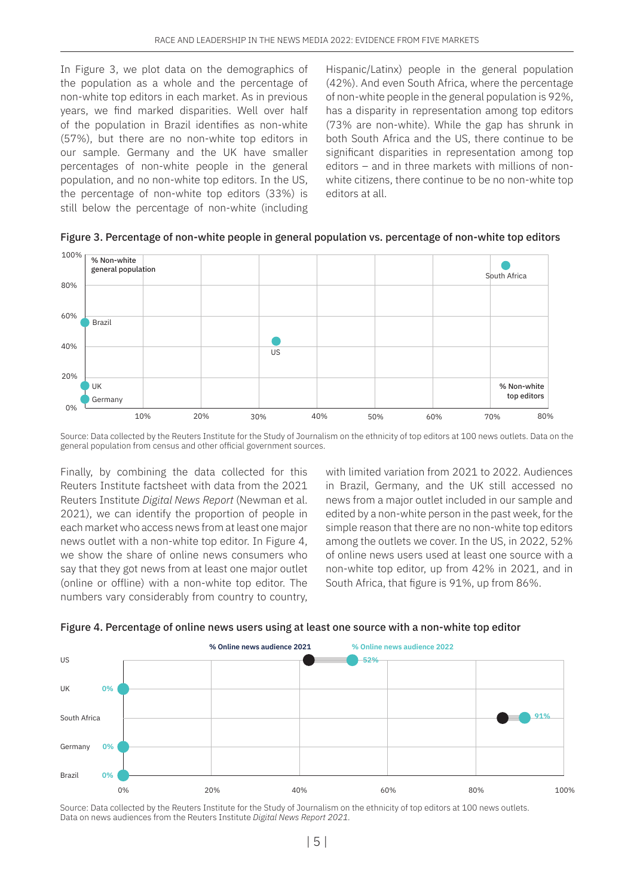In Figure 3, we plot data on the demographics of the population as a whole and the percentage of non-white top editors in each market. As in previous years, we find marked disparities. Well over half of the population in Brazil identifies as non-white (57%), but there are no non-white top editors in our sample. Germany and the UK have smaller percentages of non-white people in the general population, and no non-white top editors. In the US, the percentage of non-white top editors (33%) is still below the percentage of non-white (including Hispanic/Latinx) people in the general population (42%). And even South Africa, where the percentage of non-white people in the general population is 92%, has a disparity in representation among top editors (73% are non-white). While the gap has shrunk in both South Africa and the US, there continue to be significant disparities in representation among top editors – and in three markets with millions of nonwhite citizens, there continue to be no non-white top editors at all.

Figure 3. Percentage of non-white people in general population vs. percentage of non-white top editors



Source: Data collected by the Reuters Institute for the Study of Journalism on the ethnicity of top editors at 100 news outlets. Data on the general population from census and other official government sources.

Finally, by combining the data collected for this Reuters Institute factsheet with data from the 2021 Reuters Institute *Digital News Report* (Newman et al. 2021), we can identify the proportion of people in each market who access news from at least one major news outlet with a non-white top editor. In Figure 4, we show the share of online news consumers who say that they got news from at least one major outlet (online or offline) with a non-white top editor. The numbers vary considerably from country to country,

with limited variation from 2021 to 2022. Audiences in Brazil, Germany, and the UK still accessed no news from a major outlet included in our sample and edited by a non-white person in the past week, for the simple reason that there are no non-white top editors among the outlets we cover. In the US, in 2022, 52% of online news users used at least one source with a non-white top editor, up from 42% in 2021, and in South Africa, that figure is 91%, up from 86%.





Source: Data collected by the Reuters Institute for the Study of Journalism on the ethnicity of top editors at 100 news outlets. Data on news audiences from the Reuters Institute *Digital News Report 2021.*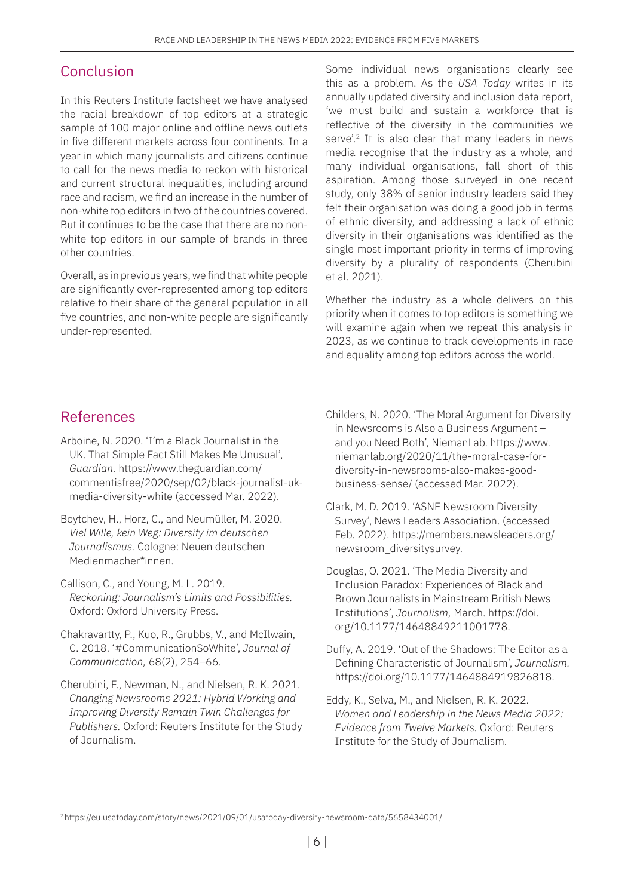### Conclusion

In this Reuters Institute factsheet we have analysed the racial breakdown of top editors at a strategic sample of 100 major online and offline news outlets in five different markets across four continents. In a year in which many journalists and citizens continue to call for the news media to reckon with historical and current structural inequalities, including around race and racism, we find an increase in the number of non-white top editors in two of the countries covered. But it continues to be the case that there are no nonwhite top editors in our sample of brands in three other countries.

Overall, as in previous years, we find that white people are significantly over-represented among top editors relative to their share of the general population in all five countries, and non-white people are significantly under-represented.

Some individual news organisations clearly see this as a problem. As the *USA Today* writes in its annually updated diversity and inclusion data report, 'we must build and sustain a workforce that is reflective of the diversity in the communities we serve'.<sup>2</sup> It is also clear that many leaders in news media recognise that the industry as a whole, and many individual organisations, fall short of this aspiration. Among those surveyed in one recent study, only 38% of senior industry leaders said they felt their organisation was doing a good job in terms of ethnic diversity, and addressing a lack of ethnic diversity in their organisations was identified as the single most important priority in terms of improving diversity by a plurality of respondents (Cherubini et al. 2021).

Whether the industry as a whole delivers on this priority when it comes to top editors is something we will examine again when we repeat this analysis in 2023, as we continue to track developments in race and equality among top editors across the world.

## References

- Arboine, N. 2020. 'I'm a Black Journalist in the UK. That Simple Fact Still Makes Me Unusual', *Guardian.* [https://www.theguardian.com/](https://www.theguardian.com/commentisfree/2020/sep/02/black-journalist-uk-media-diversity-white) [commentisfree/2020/sep/02/black-journalist-uk](https://www.theguardian.com/commentisfree/2020/sep/02/black-journalist-uk-media-diversity-white)[media-diversity-white](https://www.theguardian.com/commentisfree/2020/sep/02/black-journalist-uk-media-diversity-white) (accessed Mar. 2022).
- Boytchev, H., Horz, C., and Neumüller, M. 2020. *Viel Wille, kein Weg: Diversity im deutschen Journalismus.* Cologne: Neuen deutschen Medienmacher\*innen.
- Callison, C., and Young, M. L. 2019. *Reckoning: Journalism's Limits and Possibilities.* Oxford: Oxford University Press.
- Chakravartty, P., Kuo, R., Grubbs, V., and McIlwain, C. 2018. '#CommunicationSoWhite', *Journal of Communication,* 68(2), 254–66.
- Cherubini, F., Newman, N., and Nielsen, R. K. 2021. *Changing Newsrooms 2021: Hybrid Working and Improving Diversity Remain Twin Challenges for Publishers.* Oxford: Reuters Institute for the Study of Journalism.
- Childers, N. 2020. 'The Moral Argument for Diversity in Newsrooms is Also a Business Argument – and you Need Both', NiemanLab. [https://www.](https://www.niemanlab.org/2020/11/the-moral-case-for-diversity-in-newsrooms-also-makes-good-business) [niemanlab.org/2020/11/the-moral-case-for](https://www.niemanlab.org/2020/11/the-moral-case-for-diversity-in-newsrooms-also-makes-good-business)[diversity-in-newsrooms-also-makes-good](https://www.niemanlab.org/2020/11/the-moral-case-for-diversity-in-newsrooms-also-makes-good-business)[business-sense/ \(](https://www.niemanlab.org/2020/11/the-moral-case-for-diversity-in-newsrooms-also-makes-good-business)accessed Mar. 2022).
- Clark, M. D. 2019. 'ASNE Newsroom Diversity Survey', News Leaders Association. (accessed Feb. 2022). [https://members.newsleaders.org/](https://members.newsleaders.org/newsroom_diversitysurvey) [newsroom\\_diversitysurvey.](https://members.newsleaders.org/newsroom_diversitysurvey)
- Douglas, O. 2021. 'The Media Diversity and Inclusion Paradox: Experiences of Black and Brown Journalists in Mainstream British News Institutions', *Journalism,* March. [https://doi.](https://doi.org/10.1177/14648849211001778) [org/10.1177/14648849211001778.](https://doi.org/10.1177/14648849211001778)
- Duffy, A. 2019. 'Out of the Shadows: The Editor as a Defining Characteristic of Journalism', *Journalism.* <https://doi.org/10.1177/1464884919826818>.
- Eddy, K., Selva, M., and Nielsen, R. K. 2022. *Women and Leadership in the News Media 2022: Evidence from Twelve Markets.* Oxford: Reuters Institute for the Study of Journalism.

<span id="page-5-0"></span><sup>2</sup> <https://eu.usatoday.com/story/news/2021/09/01/usatoday-diversity-newsroom-data/5658434001/>